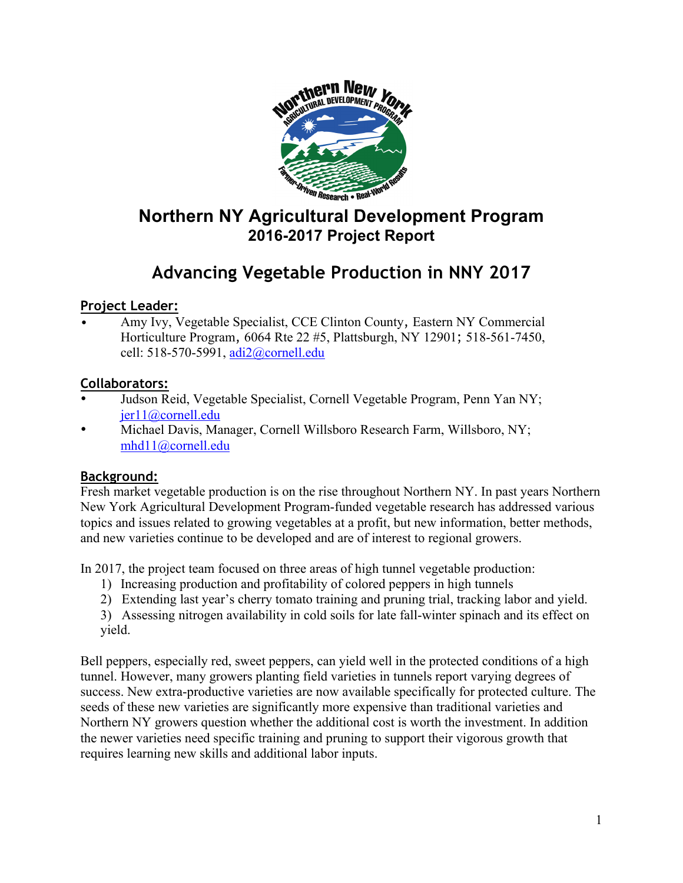

# **Northern NY Agricultural Development Program 2016-2017 Project Report**

# **Advancing Vegetable Production in NNY 2017**

### **Project Leader:**

• Amy Ivy, Vegetable Specialist, CCE Clinton County, Eastern NY Commercial Horticulture Program, 6064 Rte 22 #5, Plattsburgh, NY 12901; 518-561-7450, cell: 518-570-5991, adi2@cornell.edu

### **Collaborators:**

- Judson Reid, Vegetable Specialist, Cornell Vegetable Program, Penn Yan NY; jer11@cornell.edu
- Michael Davis, Manager, Cornell Willsboro Research Farm, Willsboro, NY; mhd11@cornell.edu

### **Background:**

Fresh market vegetable production is on the rise throughout Northern NY. In past years Northern New York Agricultural Development Program-funded vegetable research has addressed various topics and issues related to growing vegetables at a profit, but new information, better methods, and new varieties continue to be developed and are of interest to regional growers.

In 2017, the project team focused on three areas of high tunnel vegetable production:

- 1) Increasing production and profitability of colored peppers in high tunnels
- 2) Extending last year's cherry tomato training and pruning trial, tracking labor and yield.
- 3) Assessing nitrogen availability in cold soils for late fall-winter spinach and its effect on yield.

Bell peppers, especially red, sweet peppers, can yield well in the protected conditions of a high tunnel. However, many growers planting field varieties in tunnels report varying degrees of success. New extra-productive varieties are now available specifically for protected culture. The seeds of these new varieties are significantly more expensive than traditional varieties and Northern NY growers question whether the additional cost is worth the investment. In addition the newer varieties need specific training and pruning to support their vigorous growth that requires learning new skills and additional labor inputs.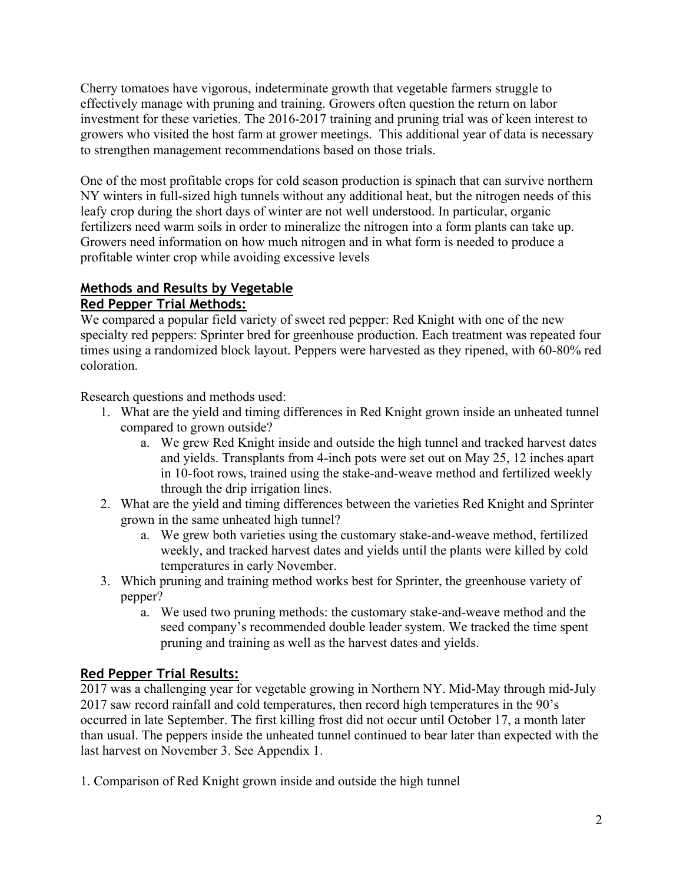Cherry tomatoes have vigorous, indeterminate growth that vegetable farmers struggle to effectively manage with pruning and training. Growers often question the return on labor investment for these varieties. The 2016-2017 training and pruning trial was of keen interest to growers who visited the host farm at grower meetings. This additional year of data is necessary to strengthen management recommendations based on those trials.

One of the most profitable crops for cold season production is spinach that can survive northern NY winters in full-sized high tunnels without any additional heat, but the nitrogen needs of this leafy crop during the short days of winter are not well understood. In particular, organic fertilizers need warm soils in order to mineralize the nitrogen into a form plants can take up. Growers need information on how much nitrogen and in what form is needed to produce a profitable winter crop while avoiding excessive levels

# **Methods and Results by Vegetable**

### **Red Pepper Trial Methods:**

We compared a popular field variety of sweet red pepper: Red Knight with one of the new specialty red peppers: Sprinter bred for greenhouse production. Each treatment was repeated four times using a randomized block layout. Peppers were harvested as they ripened, with 60-80% red coloration.

Research questions and methods used:

- 1. What are the yield and timing differences in Red Knight grown inside an unheated tunnel compared to grown outside?
	- a. We grew Red Knight inside and outside the high tunnel and tracked harvest dates and yields. Transplants from 4-inch pots were set out on May 25, 12 inches apart in 10-foot rows, trained using the stake-and-weave method and fertilized weekly through the drip irrigation lines.
- 2. What are the yield and timing differences between the varieties Red Knight and Sprinter grown in the same unheated high tunnel?
	- a. We grew both varieties using the customary stake-and-weave method, fertilized weekly, and tracked harvest dates and yields until the plants were killed by cold temperatures in early November.
- 3. Which pruning and training method works best for Sprinter, the greenhouse variety of pepper?
	- a. We used two pruning methods: the customary stake-and-weave method and the seed company's recommended double leader system. We tracked the time spent pruning and training as well as the harvest dates and yields.

### **Red Pepper Trial Results:**

2017 was a challenging year for vegetable growing in Northern NY. Mid-May through mid-July 2017 saw record rainfall and cold temperatures, then record high temperatures in the 90's occurred in late September. The first killing frost did not occur until October 17, a month later than usual. The peppers inside the unheated tunnel continued to bear later than expected with the last harvest on November 3. See Appendix 1.

1. Comparison of Red Knight grown inside and outside the high tunnel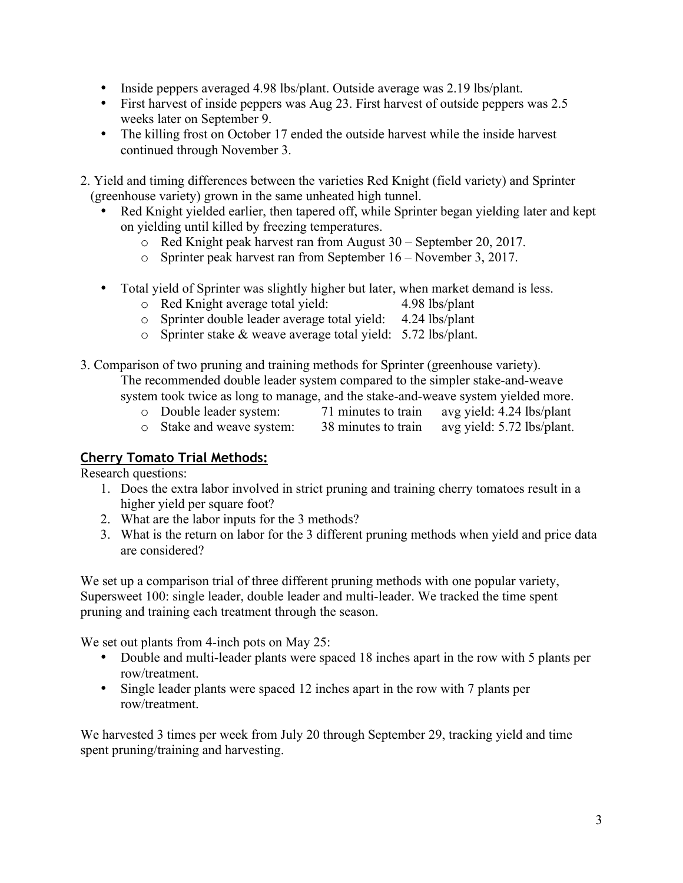- Inside peppers averaged 4.98 lbs/plant. Outside average was 2.19 lbs/plant.
- First harvest of inside peppers was Aug 23. First harvest of outside peppers was 2.5 weeks later on September 9.
- The killing frost on October 17 ended the outside harvest while the inside harvest continued through November 3.

2. Yield and timing differences between the varieties Red Knight (field variety) and Sprinter (greenhouse variety) grown in the same unheated high tunnel.

- Red Knight yielded earlier, then tapered off, while Sprinter began yielding later and kept on yielding until killed by freezing temperatures.
	- o Red Knight peak harvest ran from August 30 September 20, 2017.
	- o Sprinter peak harvest ran from September 16 November 3, 2017.
- Total yield of Sprinter was slightly higher but later, when market demand is less.<br>
o Red Knight average total yield: 4.98 lbs/plant
	- $\circ$  Red Knight average total yield:
	- o Sprinter double leader average total yield: 4.24 lbs/plant
	- o Sprinter stake & weave average total yield: 5.72 lbs/plant.
- 3. Comparison of two pruning and training methods for Sprinter (greenhouse variety). The recommended double leader system compared to the simpler stake-and-weave system took twice as long to manage, and the stake-and-weave system yielded more.
	- o Double leader system: 71 minutes to train avg yield: 4.24 lbs/plant
	- o Stake and weave system: 38 minutes to train avg yield: 5.72 lbs/plant.

### **Cherry Tomato Trial Methods:**

Research questions:

- 1. Does the extra labor involved in strict pruning and training cherry tomatoes result in a higher yield per square foot?
- 2. What are the labor inputs for the 3 methods?
- 3. What is the return on labor for the 3 different pruning methods when yield and price data are considered?

We set up a comparison trial of three different pruning methods with one popular variety, Supersweet 100: single leader, double leader and multi-leader. We tracked the time spent pruning and training each treatment through the season.

We set out plants from 4-inch pots on May 25:

- Double and multi-leader plants were spaced 18 inches apart in the row with 5 plants per row/treatment.
- Single leader plants were spaced 12 inches apart in the row with 7 plants per row/treatment.

We harvested 3 times per week from July 20 through September 29, tracking yield and time spent pruning/training and harvesting.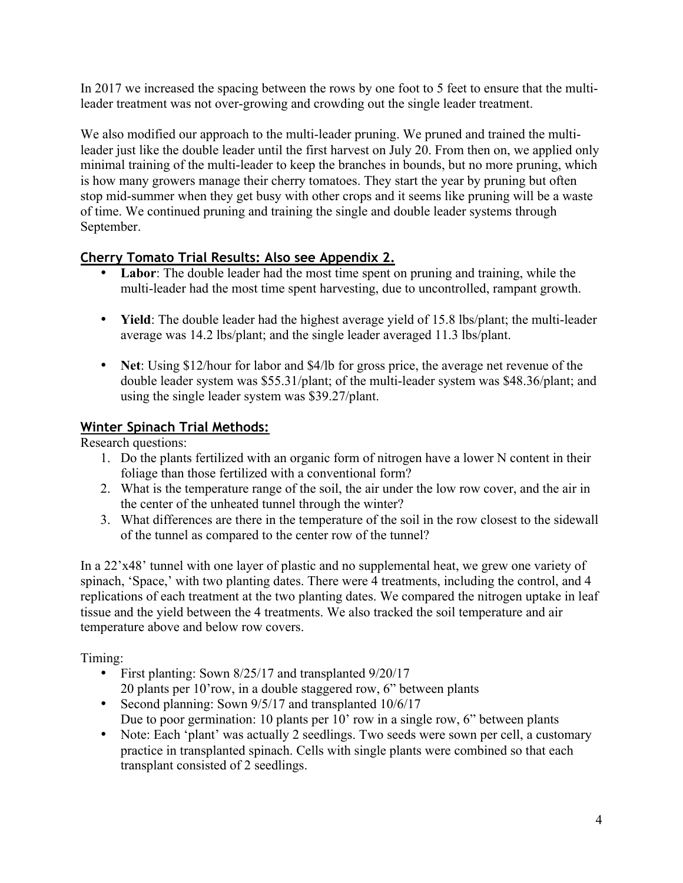In 2017 we increased the spacing between the rows by one foot to 5 feet to ensure that the multileader treatment was not over-growing and crowding out the single leader treatment.

We also modified our approach to the multi-leader pruning. We pruned and trained the multileader just like the double leader until the first harvest on July 20. From then on, we applied only minimal training of the multi-leader to keep the branches in bounds, but no more pruning, which is how many growers manage their cherry tomatoes. They start the year by pruning but often stop mid-summer when they get busy with other crops and it seems like pruning will be a waste of time. We continued pruning and training the single and double leader systems through September.

### **Cherry Tomato Trial Results: Also see Appendix 2.**

- **Labor**: The double leader had the most time spent on pruning and training, while the multi-leader had the most time spent harvesting, due to uncontrolled, rampant growth.
- **Yield**: The double leader had the highest average yield of 15.8 lbs/plant; the multi-leader average was 14.2 lbs/plant; and the single leader averaged 11.3 lbs/plant.
- **Net**: Using \$12/hour for labor and \$4/lb for gross price, the average net revenue of the double leader system was \$55.31/plant; of the multi-leader system was \$48.36/plant; and using the single leader system was \$39.27/plant.

### **Winter Spinach Trial Methods:**

Research questions:

- 1. Do the plants fertilized with an organic form of nitrogen have a lower N content in their foliage than those fertilized with a conventional form?
- 2. What is the temperature range of the soil, the air under the low row cover, and the air in the center of the unheated tunnel through the winter?
- 3. What differences are there in the temperature of the soil in the row closest to the sidewall of the tunnel as compared to the center row of the tunnel?

In a 22'x48' tunnel with one layer of plastic and no supplemental heat, we grew one variety of spinach, 'Space,' with two planting dates. There were 4 treatments, including the control, and 4 replications of each treatment at the two planting dates. We compared the nitrogen uptake in leaf tissue and the yield between the 4 treatments. We also tracked the soil temperature and air temperature above and below row covers.

Timing:

- First planting: Sown 8/25/17 and transplanted 9/20/17 20 plants per 10'row, in a double staggered row, 6" between plants
- Second planning: Sown 9/5/17 and transplanted 10/6/17
	- Due to poor germination: 10 plants per 10' row in a single row, 6" between plants
- Note: Each 'plant' was actually 2 seedlings. Two seeds were sown per cell, a customary practice in transplanted spinach. Cells with single plants were combined so that each transplant consisted of 2 seedlings.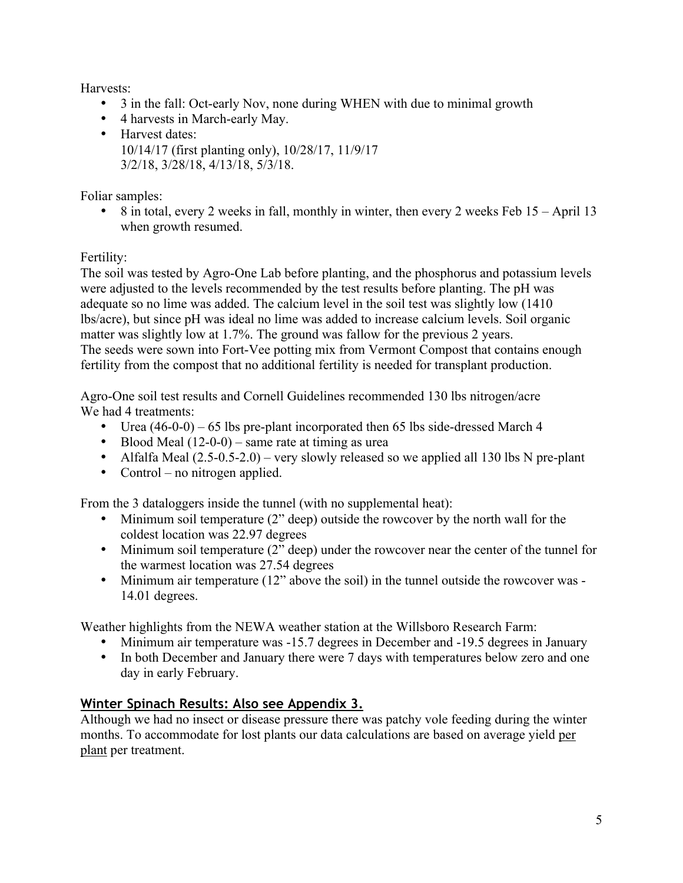Harvests:

- 3 in the fall: Oct-early Nov, none during WHEN with due to minimal growth
- 4 harvests in March-early May.
- Harvest dates: 10/14/17 (first planting only), 10/28/17, 11/9/17 3/2/18, 3/28/18, 4/13/18, 5/3/18.

Foliar samples:

• 8 in total, every 2 weeks in fall, monthly in winter, then every 2 weeks Feb 15 – April 13 when growth resumed.

### Fertility:

The soil was tested by Agro-One Lab before planting, and the phosphorus and potassium levels were adjusted to the levels recommended by the test results before planting. The pH was adequate so no lime was added. The calcium level in the soil test was slightly low (1410 lbs/acre), but since pH was ideal no lime was added to increase calcium levels. Soil organic matter was slightly low at 1.7%. The ground was fallow for the previous 2 years. The seeds were sown into Fort-Vee potting mix from Vermont Compost that contains enough fertility from the compost that no additional fertility is needed for transplant production.

Agro-One soil test results and Cornell Guidelines recommended 130 lbs nitrogen/acre We had 4 treatments:

- Urea (46-0-0) 65 lbs pre-plant incorporated then 65 lbs side-dressed March 4
- Blood Meal  $(12-0-0)$  same rate at timing as urea
- Alfalfa Meal  $(2.5-0.5-2.0)$  very slowly released so we applied all 130 lbs N pre-plant
- Control no nitrogen applied.

From the 3 dataloggers inside the tunnel (with no supplemental heat):

- Minimum soil temperature (2" deep) outside the rowcover by the north wall for the coldest location was 22.97 degrees
- Minimum soil temperature (2" deep) under the rowcover near the center of the tunnel for the warmest location was 27.54 degrees
- Minimum air temperature (12" above the soil) in the tunnel outside the rowcover was -14.01 degrees.

Weather highlights from the NEWA weather station at the Willsboro Research Farm:

- Minimum air temperature was -15.7 degrees in December and -19.5 degrees in January
- In both December and January there were 7 days with temperatures below zero and one day in early February.

# **Winter Spinach Results: Also see Appendix 3.**

Although we had no insect or disease pressure there was patchy vole feeding during the winter months. To accommodate for lost plants our data calculations are based on average yield per plant per treatment.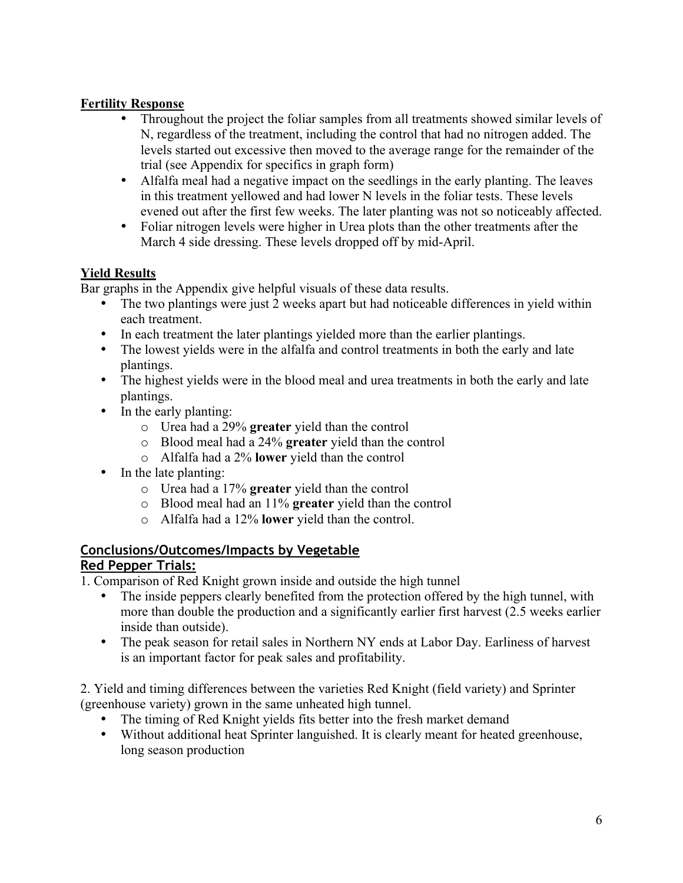### **Fertility Response**

- Throughout the project the foliar samples from all treatments showed similar levels of N, regardless of the treatment, including the control that had no nitrogen added. The levels started out excessive then moved to the average range for the remainder of the trial (see Appendix for specifics in graph form)
- Alfalfa meal had a negative impact on the seedlings in the early planting. The leaves in this treatment yellowed and had lower N levels in the foliar tests. These levels evened out after the first few weeks. The later planting was not so noticeably affected.
- Foliar nitrogen levels were higher in Urea plots than the other treatments after the March 4 side dressing. These levels dropped off by mid-April.

### **Yield Results**

Bar graphs in the Appendix give helpful visuals of these data results.

- The two plantings were just 2 weeks apart but had noticeable differences in yield within each treatment.
- In each treatment the later plantings yielded more than the earlier plantings.
- The lowest yields were in the alfalfa and control treatments in both the early and late plantings.
- The highest yields were in the blood meal and urea treatments in both the early and late plantings.
- In the early planting:
	- o Urea had a 29% **greater** yield than the control
	- o Blood meal had a 24% **greater** yield than the control
	- o Alfalfa had a 2% **lower** yield than the control
- In the late planting:
	- o Urea had a 17% **greater** yield than the control
	- o Blood meal had an 11% **greater** yield than the control
	- o Alfalfa had a 12% **lower** yield than the control.

# **Conclusions/Outcomes/Impacts by Vegetable**

### **Red Pepper Trials:**

- 1. Comparison of Red Knight grown inside and outside the high tunnel
	- The inside peppers clearly benefited from the protection offered by the high tunnel, with more than double the production and a significantly earlier first harvest (2.5 weeks earlier inside than outside).
	- The peak season for retail sales in Northern NY ends at Labor Day. Earliness of harvest is an important factor for peak sales and profitability.

2. Yield and timing differences between the varieties Red Knight (field variety) and Sprinter (greenhouse variety) grown in the same unheated high tunnel.

- The timing of Red Knight yields fits better into the fresh market demand
- Without additional heat Sprinter languished. It is clearly meant for heated greenhouse, long season production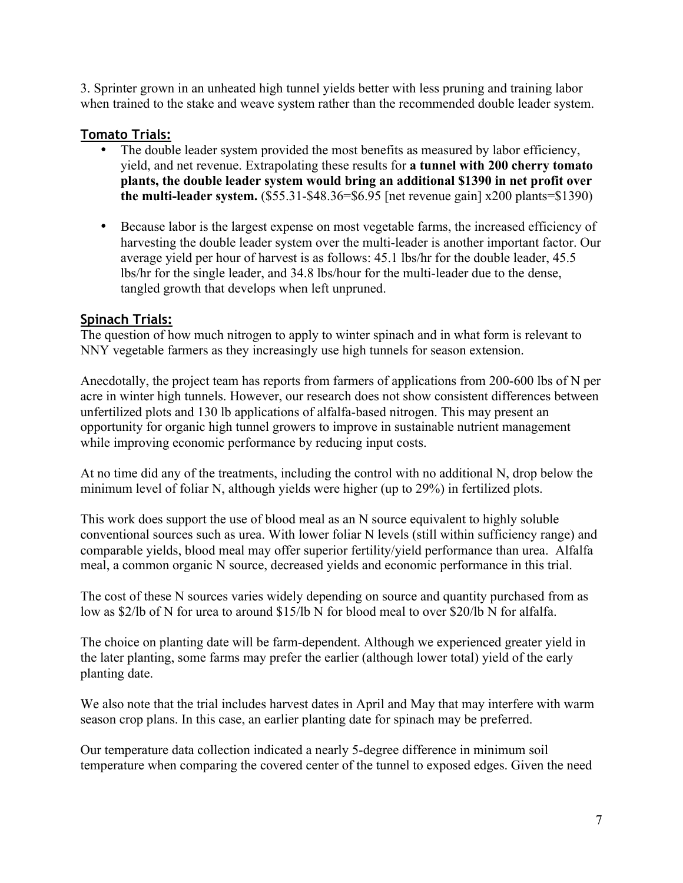3. Sprinter grown in an unheated high tunnel yields better with less pruning and training labor when trained to the stake and weave system rather than the recommended double leader system.

#### **Tomato Trials:**

- The double leader system provided the most benefits as measured by labor efficiency, yield, and net revenue. Extrapolating these results for **a tunnel with 200 cherry tomato plants, the double leader system would bring an additional \$1390 in net profit over the multi-leader system.** (\$55.31-\$48.36=\$6.95 [net revenue gain] x200 plants=\$1390)
- Because labor is the largest expense on most vegetable farms, the increased efficiency of harvesting the double leader system over the multi-leader is another important factor. Our average yield per hour of harvest is as follows: 45.1 lbs/hr for the double leader, 45.5 lbs/hr for the single leader, and 34.8 lbs/hour for the multi-leader due to the dense, tangled growth that develops when left unpruned.

#### **Spinach Trials:**

The question of how much nitrogen to apply to winter spinach and in what form is relevant to NNY vegetable farmers as they increasingly use high tunnels for season extension.

Anecdotally, the project team has reports from farmers of applications from 200-600 lbs of N per acre in winter high tunnels. However, our research does not show consistent differences between unfertilized plots and 130 lb applications of alfalfa-based nitrogen. This may present an opportunity for organic high tunnel growers to improve in sustainable nutrient management while improving economic performance by reducing input costs.

At no time did any of the treatments, including the control with no additional N, drop below the minimum level of foliar N, although yields were higher (up to 29%) in fertilized plots.

This work does support the use of blood meal as an N source equivalent to highly soluble conventional sources such as urea. With lower foliar N levels (still within sufficiency range) and comparable yields, blood meal may offer superior fertility/yield performance than urea. Alfalfa meal, a common organic N source, decreased yields and economic performance in this trial.

The cost of these N sources varies widely depending on source and quantity purchased from as low as \$2/lb of N for urea to around \$15/lb N for blood meal to over \$20/lb N for alfalfa.

The choice on planting date will be farm-dependent. Although we experienced greater yield in the later planting, some farms may prefer the earlier (although lower total) yield of the early planting date.

We also note that the trial includes harvest dates in April and May that may interfere with warm season crop plans. In this case, an earlier planting date for spinach may be preferred.

Our temperature data collection indicated a nearly 5-degree difference in minimum soil temperature when comparing the covered center of the tunnel to exposed edges. Given the need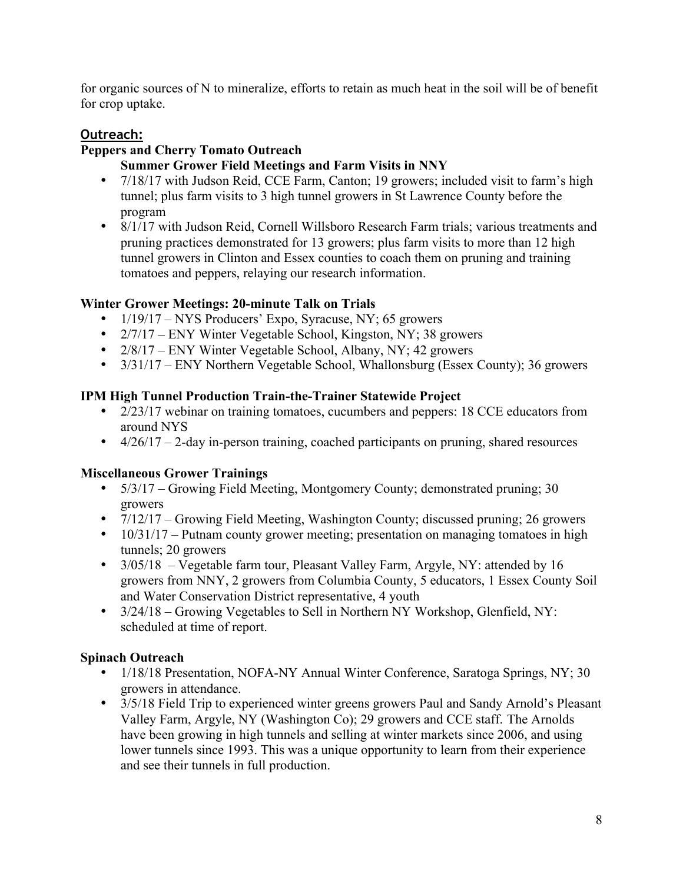for organic sources of N to mineralize, efforts to retain as much heat in the soil will be of benefit for crop uptake.

### **Outreach:**

### **Peppers and Cherry Tomato Outreach**

#### **Summer Grower Field Meetings and Farm Visits in NNY**

- 7/18/17 with Judson Reid, CCE Farm, Canton; 19 growers; included visit to farm's high tunnel; plus farm visits to 3 high tunnel growers in St Lawrence County before the program
- 8/1/17 with Judson Reid, Cornell Willsboro Research Farm trials; various treatments and pruning practices demonstrated for 13 growers; plus farm visits to more than 12 high tunnel growers in Clinton and Essex counties to coach them on pruning and training tomatoes and peppers, relaying our research information.

#### **Winter Grower Meetings: 20-minute Talk on Trials**

- $1/19/17 NYS$  Producers' Expo, Syracuse, NY; 65 growers
- 2/7/17 ENY Winter Vegetable School, Kingston, NY; 38 growers
- $2/8/17$  ENY Winter Vegetable School, Albany, NY; 42 growers
- 3/31/17 ENY Northern Vegetable School, Whallonsburg (Essex County); 36 growers

#### **IPM High Tunnel Production Train-the-Trainer Statewide Project**

- 2/23/17 webinar on training tomatoes, cucumbers and peppers: 18 CCE educators from around NYS
- $\bullet$  4/26/17 2-day in-person training, coached participants on pruning, shared resources

#### **Miscellaneous Grower Trainings**

- 5/3/17 Growing Field Meeting, Montgomery County; demonstrated pruning; 30 growers
- 7/12/17 Growing Field Meeting, Washington County; discussed pruning; 26 growers
- 10/31/17 Putnam county grower meeting; presentation on managing tomatoes in high tunnels; 20 growers
- 3/05/18 Vegetable farm tour, Pleasant Valley Farm, Argyle, NY: attended by 16 growers from NNY, 2 growers from Columbia County, 5 educators, 1 Essex County Soil and Water Conservation District representative, 4 youth
- 3/24/18 Growing Vegetables to Sell in Northern NY Workshop, Glenfield, NY: scheduled at time of report.

### **Spinach Outreach**

- 1/18/18 Presentation, NOFA-NY Annual Winter Conference, Saratoga Springs, NY; 30 growers in attendance.
- 3/5/18 Field Trip to experienced winter greens growers Paul and Sandy Arnold's Pleasant Valley Farm, Argyle, NY (Washington Co); 29 growers and CCE staff. The Arnolds have been growing in high tunnels and selling at winter markets since 2006, and using lower tunnels since 1993. This was a unique opportunity to learn from their experience and see their tunnels in full production.